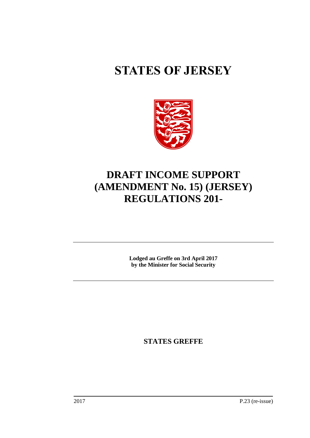# **STATES OF JERSEY**



## **DRAFT INCOME SUPPORT (AMENDMENT No. 15) (JERSEY) REGULATIONS 201-**

**Lodged au Greffe on 3rd April 2017 by the Minister for Social Security**

**STATES GREFFE**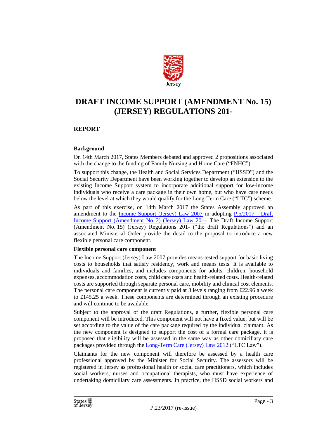

### **DRAFT INCOME SUPPORT (AMENDMENT No. 15) (JERSEY) REGULATIONS 201-**

#### **REPORT**

#### **Background**

On 14th March 2017, States Members debated and approved 2 propositions associated with the change to the funding of Family Nursing and Home Care ("FNHC").

To support this change, the Health and Social Services Department ("HSSD") and the Social Security Department have been working together to develop an extension to the existing Income Support system to incorporate additional support for low-income individuals who receive a care package in their own home, but who have care needs below the level at which they would qualify for the Long-Term Care ("LTC") scheme.

As part of this exercise, on 14th March 2017 the States Assembly approved an amendment to the <u>Income Support (Jersey)</u> Law 2007 in adopting  $P_{.5}/2017 - Draff$ Income Support (Amendment No. [2\) \(Jersey\) Law 201-.](http://www.statesassembly.gov.je/AssemblyPropositions/2017/P.5-2017.pdf) The Draft Income Support (Amendment No. 15) (Jersey) Regulations 201- ("the draft Regulations") and an associated Ministerial Order provide the detail to the proposal to introduce a new flexible personal care component.

#### **Flexible personal care component**

The Income Support (Jersey) Law 2007 provides means-tested support for basic living costs to households that satisfy residency, work and means tests. It is available to individuals and families, and includes components for adults, children, household expenses, accommodation costs, child care costs and health-related costs. Health-related costs are supported through separate personal care, mobility and clinical cost elements. The personal care component is currently paid at 3 levels ranging from  $\text{\pounds}22.96$  a week to £145.25 a week. These components are determined through an existing procedure and will continue to be available.

Subject to the approval of the draft Regulations, a further, flexible personal care component will be introduced. This component will not have a fixed value, but will be set according to the value of the care package required by the individual claimant. As the new component is designed to support the cost of a formal care package, it is proposed that eligibility will be assessed in the same way as other domiciliary care packages provided through the [Long-Term Care \(Jersey\) Law 2012](https://www.jerseylaw.je/laws/revised/Pages/26.600.aspx) ("LTC Law").

Claimants for the new component will therefore be assessed by a health care professional approved by the Minister for Social Security. The assessors will be registered in Jersey as professional health or social care practitioners, which includes social workers, nurses and occupational therapists, who must have experience of undertaking domiciliary care assessments. In practice, the HSSD social workers and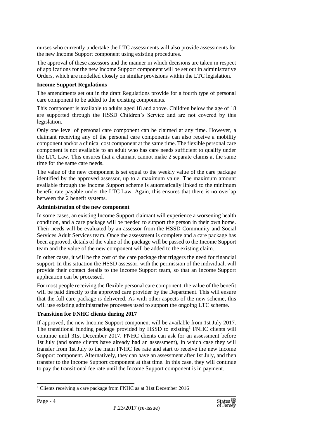nurses who currently undertake the LTC assessments will also provide assessments for the new Income Support component using existing procedures.

The approval of these assessors and the manner in which decisions are taken in respect of applications for the new Income Support component will be set out in administrative Orders, which are modelled closely on similar provisions within the LTC legislation.

#### **Income Support Regulations**

The amendments set out in the draft Regulations provide for a fourth type of personal care component to be added to the existing components.

This component is available to adults aged 18 and above. Children below the age of 18 are supported through the HSSD Children's Service and are not covered by this legislation.

Only one level of personal care component can be claimed at any time. However, a claimant receiving any of the personal care components can also receive a mobility component and/or a clinical cost component at the same time. The flexible personal care component is not available to an adult who has care needs sufficient to qualify under the LTC Law. This ensures that a claimant cannot make 2 separate claims at the same time for the same care needs.

The value of the new component is set equal to the weekly value of the care package identified by the approved assessor, up to a maximum value. The maximum amount available through the Income Support scheme is automatically linked to the minimum benefit rate payable under the LTC Law. Again, this ensures that there is no overlap between the 2 benefit systems.

#### **Administration of the new component**

In some cases, an existing Income Support claimant will experience a worsening health condition, and a care package will be needed to support the person in their own home. Their needs will be evaluated by an assessor from the HSSD Community and Social Services Adult Services team. Once the assessment is complete and a care package has been approved, details of the value of the package will be passed to the Income Support team and the value of the new component will be added to the existing claim.

In other cases, it will be the cost of the care package that triggers the need for financial support. In this situation the HSSD assessor, with the permission of the individual, will provide their contact details to the Income Support team, so that an Income Support application can be processed.

For most people receiving the flexible personal care component, the value of the benefit will be paid directly to the approved care provider by the Department. This will ensure that the full care package is delivered. As with other aspects of the new scheme, this will use existing administrative processes used to support the ongoing LTC scheme.

#### **Transition for FNHC clients during 2017**

If approved, the new Income Support component will be available from 1st July 2017. The transitional funding package provided by HSSD to existing<sup>1</sup> FNHC clients will continue until 31st December 2017. FNHC clients can ask for an assessment before 1st July (and some clients have already had an assessment), in which case they will transfer from 1st July to the main FNHC fee rate and start to receive the new Income Support component. Alternatively, they can have an assessment after 1st July, and then transfer to the Income Support component at that time. In this case, they will continue to pay the transitional fee rate until the Income Support component is in payment.

<sup>&</sup>lt;sup>1</sup> Clients receiving a care package from FNHC as at 31st December 2016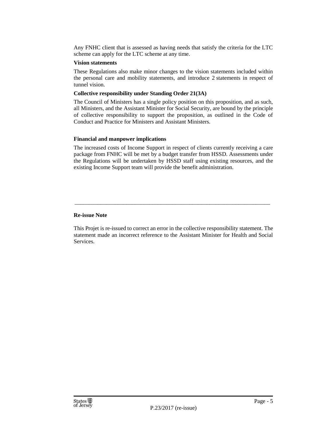Any FNHC client that is assessed as having needs that satisfy the criteria for the LTC scheme can apply for the LTC scheme at any time.

#### **Vision statements**

These Regulations also make minor changes to the vision statements included within the personal care and mobility statements, and introduce 2 statements in respect of tunnel vision.

#### **Collective responsibility under Standing Order 21(3A)**

The Council of Ministers has a single policy position on this proposition, and as such, all Ministers, and the Assistant Minister for Social Security, are bound by the principle of collective responsibility to support the proposition, as outlined in the Code of Conduct and Practice for Ministers and Assistant Ministers.

#### **Financial and manpower implications**

The increased costs of Income Support in respect of clients currently receiving a care package from FNHC will be met by a budget transfer from HSSD. Assessments under the Regulations will be undertaken by HSSD staff using existing resources, and the existing Income Support team will provide the benefit administration.

#### **Re-issue Note**

This Projet is re-issued to correct an error in the collective responsibility statement. The statement made an incorrect reference to the Assistant Minister for Health and Social Services.

\_\_\_\_\_\_\_\_\_\_\_\_\_\_\_\_\_\_\_\_\_\_\_\_\_\_\_\_\_\_\_\_\_\_\_\_\_\_\_\_\_\_\_\_\_\_\_\_\_\_\_\_\_\_\_\_\_\_\_\_\_\_\_\_\_\_\_\_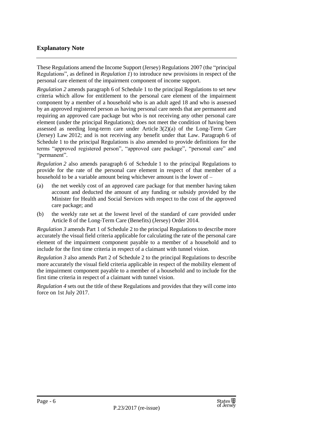#### **Explanatory Note**

These Regulations amend the Income Support (Jersey) Regulations 2007 (the "principal Regulations", as defined in *Regulation 1*) to introduce new provisions in respect of the personal care element of the impairment component of income support.

*Regulation 2* amends paragraph 6 of Schedule 1 to the principal Regulations to set new criteria which allow for entitlement to the personal care element of the impairment component by a member of a household who is an adult aged 18 and who is assessed by an approved registered person as having personal care needs that are permanent and requiring an approved care package but who is not receiving any other personal care element (under the principal Regulations); does not meet the condition of having been assessed as needing long-term care under Article  $3(2)(a)$  of the Long-Term Care (Jersey) Law 2012; and is not receiving any benefit under that Law. Paragraph 6 of Schedule 1 to the principal Regulations is also amended to provide definitions for the terms "approved registered person", "approved care package", "personal care" and "permanent".

*Regulation 2* also amends paragraph 6 of Schedule 1 to the principal Regulations to provide for the rate of the personal care element in respect of that member of a household to be a variable amount being whichever amount is the lower of –

- (a) the net weekly cost of an approved care package for that member having taken account and deducted the amount of any funding or subsidy provided by the Minister for Health and Social Services with respect to the cost of the approved care package; and
- (b) the weekly rate set at the lowest level of the standard of care provided under Article 8 of the Long-Term Care (Benefits) (Jersey) Order 2014.

*Regulation 3* amends Part 1 of Schedule 2 to the principal Regulations to describe more accurately the visual field criteria applicable for calculating the rate of the personal care element of the impairment component payable to a member of a household and to include for the first time criteria in respect of a claimant with tunnel vision.

*Regulation 3* also amends Part 2 of Schedule 2 to the principal Regulations to describe more accurately the visual field criteria applicable in respect of the mobility element of the impairment component payable to a member of a household and to include for the first time criteria in respect of a claimant with tunnel vision.

*Regulation 4* sets out the title of these Regulations and provides that they will come into force on 1st July 2017.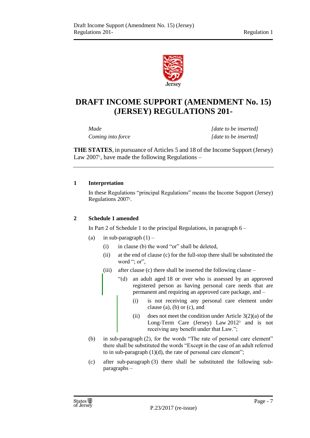

## **DRAFT INCOME SUPPORT (AMENDMENT No. 15) (JERSEY) REGULATIONS 201-**

*Made [date to be inserted] Coming into force [date to be inserted]*

**THE STATES**, in pursuance of Articles 5 and 18 of the Income Support (Jersey) Law 2007<sup>1</sup>, have made the following Regulations –

#### **1 Interpretation**

In these Regulations "principal Regulations" means the Income Support (Jersey) Regulations 2007<sup>2</sup> .

#### **2 Schedule 1 amended**

In Part 2 of Schedule 1 to the principal Regulations, in paragraph 6 –

- (a) in sub-paragraph  $(1)$ 
	- (i) in clause (b) the word "or" shall be deleted,
	- (ii) at the end of clause (c) for the full-stop there shall be substituted the word "; or",
	- (iii) after clause (c) there shall be inserted the following clause
		- "(d) an adult aged 18 or over who is assessed by an approved registered person as having personal care needs that are permanent and requiring an approved care package, and –
			- (i) is not receiving any personal care element under clause (a), (b) or (c), and
			- (ii) does not meet the condition under Article  $3(2)(a)$  of the Long-Term Care (Jersey) Law 2012<sup>3</sup> and is not receiving any benefit under that Law.";
- (b) in sub-paragraph (2), for the words "The rate of personal care element" there shall be substituted the words "Except in the case of an adult referred to in sub-paragraph  $(1)(d)$ , the rate of personal care element";
- (c) after sub-paragraph (3) there shall be substituted the following subparagraphs –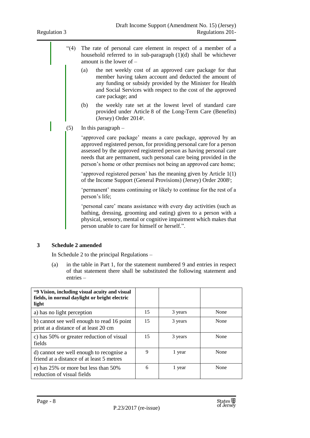- "(4) The rate of personal care element in respect of a member of a household referred to in sub-paragraph (1)(d) shall be whichever amount is the lower of –
	- (a) the net weekly cost of an approved care package for that member having taken account and deducted the amount of any funding or subsidy provided by the Minister for Health and Social Services with respect to the cost of the approved care package; and
	- (b) the weekly rate set at the lowest level of standard care provided under Article 8 of the Long-Term Care (Benefits) (Jersey) Order 2014<sup>4</sup> .
- (5) In this paragraph –

'approved care package' means a care package, approved by an approved registered person, for providing personal care for a person assessed by the approved registered person as having personal care needs that are permanent, such personal care being provided in the person's home or other premises not being an approved care home;

'approved registered person' has the meaning given by Article 1(1) of the Income Support (General Provisions) (Jersey) Order 2008<sup>5</sup>;

'permanent' means continuing or likely to continue for the rest of a person's life;

'personal care' means assistance with every day activities (such as bathing, dressing, grooming and eating) given to a person with a physical, sensory, mental or cognitive impairment which makes that person unable to care for himself or herself.".

#### **3 Schedule 2 amended**

In Schedule 2 to the principal Regulations –

(a) in the table in Part 1, for the statement numbered 9 and entries in respect of that statement there shall be substituted the following statement and entries –

| "9 Vision, including visual acuity and visual<br>fields, in normal daylight or bright electric<br>light |    |         |      |
|---------------------------------------------------------------------------------------------------------|----|---------|------|
| a) has no light perception                                                                              | 15 | 3 years | None |
| b) cannot see well enough to read 16 point<br>print at a distance of at least 20 cm                     | 15 | 3 years | None |
| c) has 50% or greater reduction of visual<br>fields                                                     | 15 | 3 years | None |
| d) cannot see well enough to recognise a<br>friend at a distance of at least 5 metres                   | 9  | 1 year  | None |
| e) has 25% or more but less than 50%<br>reduction of visual fields                                      | 6  | 1 year  | None |

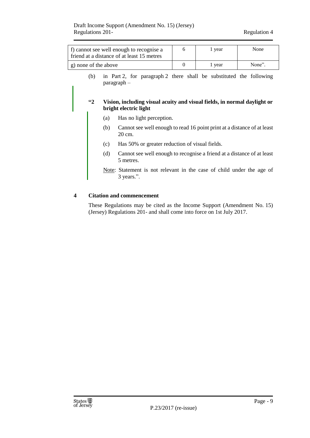| f) cannot see well enough to recognise a<br>friend at a distance of at least 15 metres                                                                                                        |     |                                                                                   | 6                                                                      | 1 year | None   |  |  |  |
|-----------------------------------------------------------------------------------------------------------------------------------------------------------------------------------------------|-----|-----------------------------------------------------------------------------------|------------------------------------------------------------------------|--------|--------|--|--|--|
| g) none of the above                                                                                                                                                                          |     |                                                                                   | $\theta$                                                               | 1 year | None". |  |  |  |
| in Part 2, for paragraph 2 there shall be substituted the following<br>(b)<br>$\text{pargraph} -$<br>$\mathbf{1}$<br>Vision, including visual acuity and visual fields, in normal daylight or |     |                                                                                   |                                                                        |        |        |  |  |  |
|                                                                                                                                                                                               |     | bright electric light                                                             |                                                                        |        |        |  |  |  |
|                                                                                                                                                                                               | (a) | Has no light perception.                                                          |                                                                        |        |        |  |  |  |
|                                                                                                                                                                                               | (b) | Cannot see well enough to read 16 point print at a distance of at least<br>20 cm. |                                                                        |        |        |  |  |  |
|                                                                                                                                                                                               | (c) | Has 50% or greater reduction of visual fields.                                    |                                                                        |        |        |  |  |  |
|                                                                                                                                                                                               | (d) | 5 metres.                                                                         | Cannot see well enough to recognise a friend at a distance of at least |        |        |  |  |  |

Note: Statement is not relevant in the case of child under the age of 3 years.".

#### **4 Citation and commencement**

These Regulations may be cited as the Income Support (Amendment No. 15) (Jersey) Regulations 201- and shall come into force on 1st July 2017.